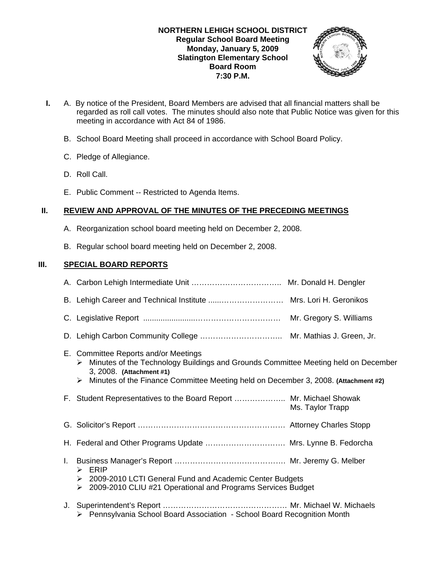

- **I.** A. By notice of the President, Board Members are advised that all financial matters shall be regarded as roll call votes. The minutes should also note that Public Notice was given for this meeting in accordance with Act 84 of 1986.
	- B. School Board Meeting shall proceed in accordance with School Board Policy.
	- C. Pledge of Allegiance.
	- D. Roll Call.
	- E. Public Comment -- Restricted to Agenda Items.

# **II. REVIEW AND APPROVAL OF THE MINUTES OF THE PRECEDING MEETINGS**

- A. Reorganization school board meeting held on December 2, 2008.
- B. Regular school board meeting held on December 2, 2008.

# **III. SPECIAL BOARD REPORTS**

|    | B. Lehigh Career and Technical Institute  Mrs. Lori H. Geronikos                                                                                                                                                                                       |                  |
|----|--------------------------------------------------------------------------------------------------------------------------------------------------------------------------------------------------------------------------------------------------------|------------------|
|    |                                                                                                                                                                                                                                                        |                  |
|    |                                                                                                                                                                                                                                                        |                  |
|    | E. Committee Reports and/or Meetings<br>Minutes of the Technology Buildings and Grounds Committee Meeting held on December<br>➤<br>3, 2008. (Attachment #1)<br>Minutes of the Finance Committee Meeting held on December 3, 2008. (Attachment #2)<br>➤ |                  |
|    | F. Student Representatives to the Board Report  Mr. Michael Showak                                                                                                                                                                                     | Ms. Taylor Trapp |
|    |                                                                                                                                                                                                                                                        |                  |
|    | H. Federal and Other Programs Update  Mrs. Lynne B. Fedorcha                                                                                                                                                                                           |                  |
| L. | $\triangleright$ ERIP<br>▶ 2009-2010 LCTI General Fund and Academic Center Budgets<br>▶ 2009-2010 CLIU #21 Operational and Programs Services Budget                                                                                                    |                  |
| J. | > Pennsylvania School Board Association - School Board Recognition Month                                                                                                                                                                               |                  |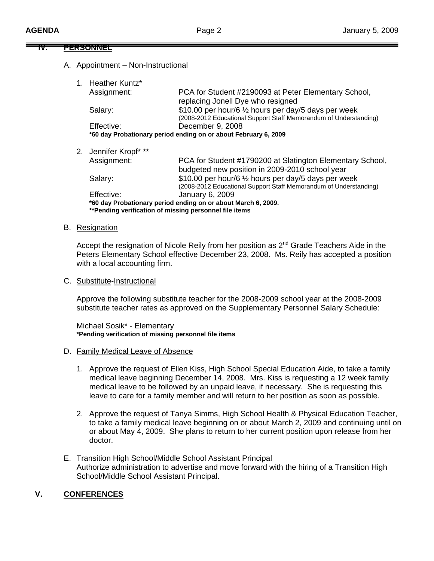**IV. PERSONNEL**

|                                                                 | .  |                                                        |                                                                                                                           |  |  |
|-----------------------------------------------------------------|----|--------------------------------------------------------|---------------------------------------------------------------------------------------------------------------------------|--|--|
|                                                                 | А. | Appointment – Non-Instructional                        |                                                                                                                           |  |  |
|                                                                 |    | <b>Heather Kuntz*</b>                                  |                                                                                                                           |  |  |
|                                                                 |    | Assignment:                                            | PCA for Student #2190093 at Peter Elementary School,<br>replacing Jonell Dye who resigned                                 |  |  |
|                                                                 |    | Salary:                                                | \$10.00 per hour/6 1/2 hours per day/5 days per week<br>(2008-2012 Educational Support Staff Memorandum of Understanding) |  |  |
|                                                                 |    | Effective:                                             | December 9, 2008                                                                                                          |  |  |
| *60 day Probationary period ending on or about February 6, 2009 |    |                                                        |                                                                                                                           |  |  |
|                                                                 |    | 2. Jennifer Kropf* **                                  |                                                                                                                           |  |  |
|                                                                 |    | Assignment:                                            | PCA for Student #1790200 at Slatington Elementary School,<br>budgeted new position in 2009-2010 school year               |  |  |
|                                                                 |    | Salary:                                                | \$10.00 per hour/6 1/2 hours per day/5 days per week<br>(2008-2012 Educational Support Staff Memorandum of Understanding) |  |  |
|                                                                 |    | Effective:                                             | January 6, 2009                                                                                                           |  |  |
|                                                                 |    | **Pending verification of missing personnel file items | *60 day Probationary period ending on or about March 6, 2009.                                                             |  |  |
|                                                                 |    |                                                        |                                                                                                                           |  |  |

### B. Resignation

Accept the resignation of Nicole Reily from her position as 2<sup>nd</sup> Grade Teachers Aide in the Peters Elementary School effective December 23, 2008. Ms. Reily has accepted a position with a local accounting firm.

#### C. Substitute-Instructional

Approve the following substitute teacher for the 2008-2009 school year at the 2008-2009 substitute teacher rates as approved on the Supplementary Personnel Salary Schedule:

 Michael Sosik\* - Elementary **\*Pending verification of missing personnel file items** 

#### D. Family Medical Leave of Absence

- 1. Approve the request of Ellen Kiss, High School Special Education Aide, to take a family medical leave beginning December 14, 2008. Mrs. Kiss is requesting a 12 week family medical leave to be followed by an unpaid leave, if necessary. She is requesting this leave to care for a family member and will return to her position as soon as possible.
- 2. Approve the request of Tanya Simms, High School Health & Physical Education Teacher, to take a family medical leave beginning on or about March 2, 2009 and continuing until on or about May 4, 2009. She plans to return to her current position upon release from her doctor.
- E. Transition High School/Middle School Assistant Principal Authorize administration to advertise and move forward with the hiring of a Transition High School/Middle School Assistant Principal.

# **V. CONFERENCES**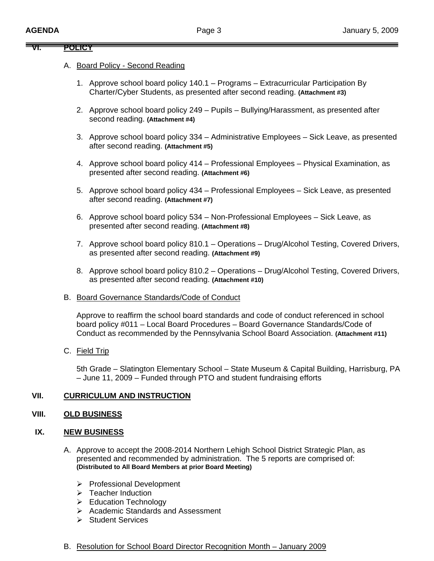## **VI. POLICY**

## A. Board Policy - Second Reading

- 1. Approve school board policy 140.1 Programs Extracurricular Participation By Charter/Cyber Students, as presented after second reading. **(Attachment #3)**
- 2. Approve school board policy 249 Pupils Bullying/Harassment, as presented after second reading. **(Attachment #4)**
- 3. Approve school board policy 334 Administrative Employees Sick Leave, as presented after second reading. **(Attachment #5)**
- 4. Approve school board policy 414 Professional Employees Physical Examination, as presented after second reading. **(Attachment #6)**
- 5. Approve school board policy 434 Professional Employees Sick Leave, as presented after second reading. **(Attachment #7)**
- 6. Approve school board policy 534 Non-Professional Employees Sick Leave, as presented after second reading. **(Attachment #8)**
- 7. Approve school board policy 810.1 Operations Drug/Alcohol Testing, Covered Drivers, as presented after second reading. **(Attachment #9)**
- 8. Approve school board policy 810.2 Operations Drug/Alcohol Testing, Covered Drivers, as presented after second reading. **(Attachment #10)**
- B. Board Governance Standards/Code of Conduct

Approve to reaffirm the school board standards and code of conduct referenced in school board policy #011 – Local Board Procedures – Board Governance Standards/Code of Conduct as recommended by the Pennsylvania School Board Association. **(Attachment #11)** 

C. Field Trip

5th Grade – Slatington Elementary School – State Museum & Capital Building, Harrisburg, PA – June 11, 2009 – Funded through PTO and student fundraising efforts

# **VII. CURRICULUM AND INSTRUCTION**

### **VIII. OLD BUSINESS**

## **IX. NEW BUSINESS**

- A. Approve to accept the 2008-2014 Northern Lehigh School District Strategic Plan, as presented and recommended by administration. The 5 reports are comprised of: **(Distributed to All Board Members at prior Board Meeting)**
	- ¾ Professional Development
	- $\triangleright$  Teacher Induction
	- ¾ Education Technology
	- ¾ Academic Standards and Assessment
	- ¾ Student Services
- B. Resolution for School Board Director Recognition Month January 2009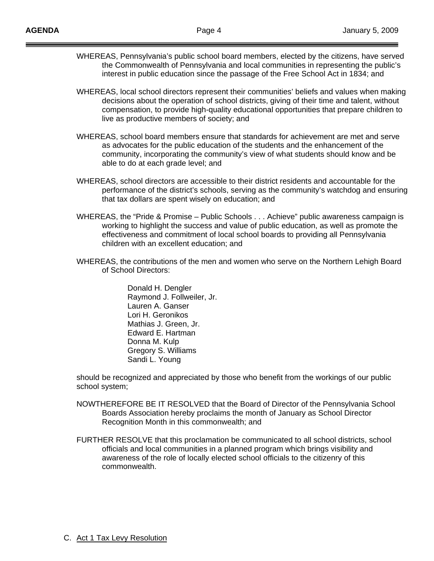- WHEREAS, Pennsylvania's public school board members, elected by the citizens, have served the Commonwealth of Pennsylvania and local communities in representing the public's interest in public education since the passage of the Free School Act in 1834; and
- WHEREAS, local school directors represent their communities' beliefs and values when making decisions about the operation of school districts, giving of their time and talent, without compensation, to provide high-quality educational opportunities that prepare children to live as productive members of society; and
- WHEREAS, school board members ensure that standards for achievement are met and serve as advocates for the public education of the students and the enhancement of the community, incorporating the community's view of what students should know and be able to do at each grade level; and
- WHEREAS, school directors are accessible to their district residents and accountable for the performance of the district's schools, serving as the community's watchdog and ensuring that tax dollars are spent wisely on education; and
- WHEREAS, the "Pride & Promise Public Schools . . . Achieve" public awareness campaign is working to highlight the success and value of public education, as well as promote the effectiveness and commitment of local school boards to providing all Pennsylvania children with an excellent education; and
- WHEREAS, the contributions of the men and women who serve on the Northern Lehigh Board of School Directors:

 Donald H. Dengler Raymond J. Follweiler, Jr. Lauren A. Ganser Lori H. Geronikos Mathias J. Green, Jr. Edward E. Hartman Donna M. Kulp Gregory S. Williams Sandi L. Young

should be recognized and appreciated by those who benefit from the workings of our public school system;

- NOWTHEREFORE BE IT RESOLVED that the Board of Director of the Pennsylvania School Boards Association hereby proclaims the month of January as School Director Recognition Month in this commonwealth; and
- FURTHER RESOLVE that this proclamation be communicated to all school districts, school officials and local communities in a planned program which brings visibility and awareness of the role of locally elected school officials to the citizenry of this commonwealth.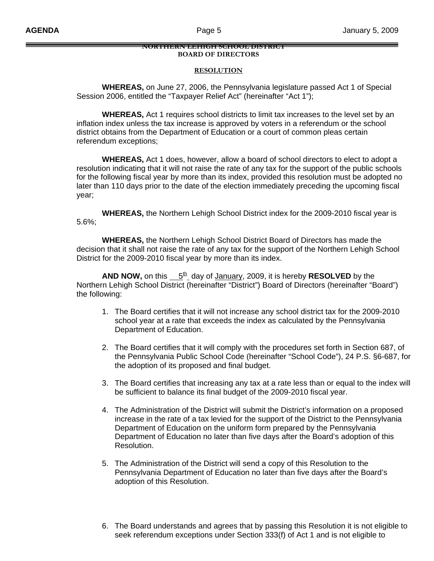#### **NORTHERN LEHIGH SCHOOL DISTRICT BOARD OF DIRECTORS**

#### **RESOLUTION**

 **WHEREAS,** on June 27, 2006, the Pennsylvania legislature passed Act 1 of Special Session 2006, entitled the "Taxpayer Relief Act" (hereinafter "Act 1");

 **WHEREAS,** Act 1 requires school districts to limit tax increases to the level set by an inflation index unless the tax increase is approved by voters in a referendum or the school district obtains from the Department of Education or a court of common pleas certain referendum exceptions;

 **WHEREAS,** Act 1 does, however, allow a board of school directors to elect to adopt a resolution indicating that it will not raise the rate of any tax for the support of the public schools for the following fiscal year by more than its index, provided this resolution must be adopted no later than 110 days prior to the date of the election immediately preceding the upcoming fiscal year;

 **WHEREAS,** the Northern Lehigh School District index for the 2009-2010 fiscal year is 5.6%;

 **WHEREAS,** the Northern Lehigh School District Board of Directors has made the decision that it shall not raise the rate of any tax for the support of the Northern Lehigh School District for the 2009-2010 fiscal year by more than its index.

**AND NOW,** on this  $5t + 5t$  day of January, 2009, it is hereby **RESOLVED** by the Northern Lehigh School District (hereinafter "District") Board of Directors (hereinafter "Board") the following:

- 1. The Board certifies that it will not increase any school district tax for the 2009-2010 school year at a rate that exceeds the index as calculated by the Pennsylvania Department of Education.
- 2. The Board certifies that it will comply with the procedures set forth in Section 687, of the Pennsylvania Public School Code (hereinafter "School Code"), 24 P.S. §6-687, for the adoption of its proposed and final budget.
- 3. The Board certifies that increasing any tax at a rate less than or equal to the index will be sufficient to balance its final budget of the 2009-2010 fiscal year.
- 4. The Administration of the District will submit the District's information on a proposed increase in the rate of a tax levied for the support of the District to the Pennsylvania Department of Education on the uniform form prepared by the Pennsylvania Department of Education no later than five days after the Board's adoption of this Resolution.
- 5. The Administration of the District will send a copy of this Resolution to the Pennsylvania Department of Education no later than five days after the Board's adoption of this Resolution.
- 6. The Board understands and agrees that by passing this Resolution it is not eligible to seek referendum exceptions under Section 333(f) of Act 1 and is not eligible to